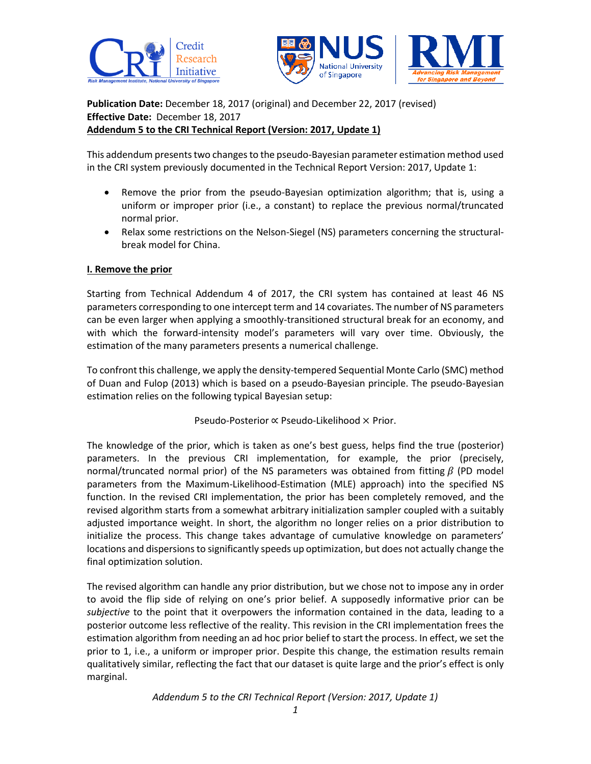



**Publication Date:** December 18, 2017 (original) and December 22, 2017 (revised) **Effective Date:** December 18, 2017 **Addendum 5 to the CRI Technical Report (Version: 2017, Update 1)**

This addendum presents two changes to the pseudo-Bayesian parameter estimation method used in the CRI system previously documented in the Technical Report Version: 2017, Update 1:

- Remove the prior from the pseudo-Bayesian optimization algorithm; that is, using a uniform or improper prior (i.e., a constant) to replace the previous normal/truncated normal prior.
- Relax some restrictions on the Nelson-Siegel (NS) parameters concerning the structuralbreak model for China.

## **I. Remove the prior**

Starting from Technical Addendum 4 of 2017, the CRI system has contained at least 46 NS parameters corresponding to one intercept term and 14 covariates. The number of NS parameters can be even larger when applying a smoothly-transitioned structural break for an economy, and with which the forward-intensity model's parameters will vary over time. Obviously, the estimation of the many parameters presents a numerical challenge.

To confront this challenge, we apply the density-tempered Sequential Monte Carlo (SMC) method of Duan and Fulop (2013) which is based on a pseudo-Bayesian principle. The pseudo-Bayesian estimation relies on the following typical Bayesian setup:

Pseudo-Posterior ∝ Pseudo-Likelihood × Prior.

The knowledge of the prior, which is taken as one's best guess, helps find the true (posterior) parameters. In the previous CRI implementation, for example, the prior (precisely, normal/truncated normal prior) of the NS parameters was obtained from fitting  $\beta$  (PD model parameters from the Maximum-Likelihood-Estimation (MLE) approach) into the specified NS function. In the revised CRI implementation, the prior has been completely removed, and the revised algorithm starts from a somewhat arbitrary initialization sampler coupled with a suitably adjusted importance weight. In short, the algorithm no longer relies on a prior distribution to initialize the process. This change takes advantage of cumulative knowledge on parameters' locations and dispersions to significantly speeds up optimization, but does not actually change the final optimization solution.

The revised algorithm can handle any prior distribution, but we chose not to impose any in order to avoid the flip side of relying on one's prior belief. A supposedly informative prior can be *subjective* to the point that it overpowers the information contained in the data, leading to a posterior outcome less reflective of the reality. This revision in the CRI implementation frees the estimation algorithm from needing an ad hoc prior belief to start the process. In effect, we set the prior to 1, i.e., a uniform or improper prior. Despite this change, the estimation results remain qualitatively similar, reflecting the fact that our dataset is quite large and the prior's effect is only marginal.

*Addendum 5 to the CRI Technical Report (Version: 2017, Update 1)*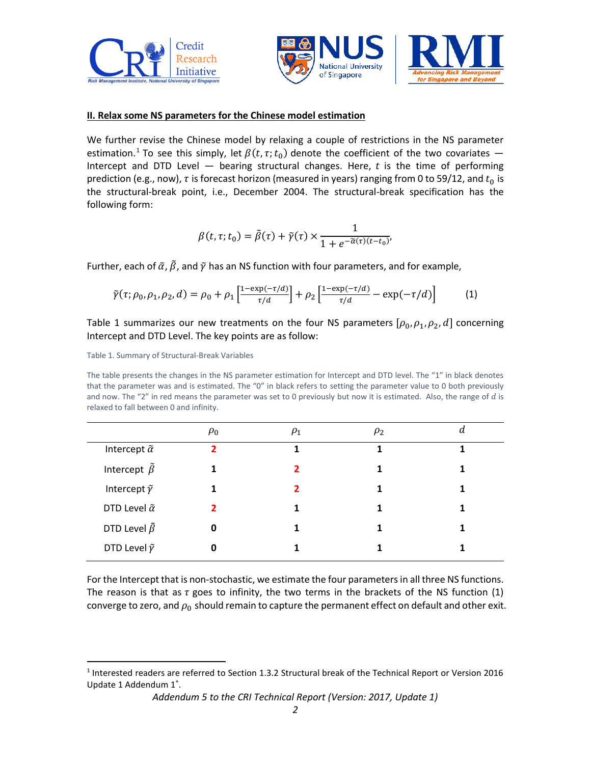



## **II. Relax some NS parameters for the Chinese model estimation**

We further revise the Chinese model by relaxing a couple of restrictions in the NS parameter estimation.<sup>1</sup> To see this simply, let  $\beta(t,\tau;t_0)$  denote the coefficient of the two covariates  $-$ Intercept and DTD Level  $-$  bearing structural changes. Here, t is the time of performing prediction (e.g., now),  $\tau$  is forecast horizon (measured in years) ranging from 0 to 59/12, and  $t_0$  is the structural-break point, i.e., December 2004. The structural-break specification has the following form:

$$
\beta(t,\tau;t_0)=\tilde{\beta}(\tau)+\tilde{\gamma}(\tau)\times\frac{1}{1+e^{-\tilde{\alpha}(\tau)(t-t_0)}},
$$

Further, each of  $\tilde{\alpha}$ ,  $\tilde{\beta}$ , and  $\tilde{\gamma}$  has an NS function with four parameters, and for example,

$$
\tilde{\gamma}(\tau; \rho_0, \rho_1, \rho_2, d) = \rho_0 + \rho_1 \left[ \frac{1 - \exp(-\tau/d)}{\tau/d} \right] + \rho_2 \left[ \frac{1 - \exp(-\tau/d)}{\tau/d} - \exp(-\tau/d) \right] \tag{1}
$$

Table 1 summarizes our new treatments on the four NS parameters  $[\rho_0, \rho_1, \rho_2, d]$  concerning Intercept and DTD Level. The key points are as follow:

Table 1. Summary of Structural-Break Variables

 $\overline{\phantom{a}}$ 

The table presents the changes in the NS parameter estimation for Intercept and DTD level. The "1" in black denotes that the parameter was and is estimated. The "0" in black refers to setting the parameter value to 0 both previously and now. The "2" in red means the parameter was set to 0 previously but now it is estimated. Also, the range of  $d$  is relaxed to fall between 0 and infinity.

|                            | $\rho_0$       | $\rho_1$ | $\rho_2$ |  |
|----------------------------|----------------|----------|----------|--|
| Intercept $\tilde{\alpha}$ | $\overline{2}$ |          | 1        |  |
| Intercept $\tilde{\beta}$  |                | 2        | 1        |  |
| Intercept $\tilde{\gamma}$ |                |          | 1        |  |
| DTD Level $\tilde{\alpha}$ | 2              |          | 1        |  |
| DTD Level $\tilde{\beta}$  | 0              |          |          |  |
| DTD Level $\tilde{\gamma}$ | 0              |          | 1        |  |

For the Intercept that is non-stochastic, we estimate the four parameters in all three NS functions. The reason is that as  $\tau$  goes to infinity, the two terms in the brackets of the NS function (1) converge to zero, and  $\rho_0$  should remain to capture the permanent effect on default and other exit.

<sup>&</sup>lt;sup>1</sup> Interested readers are referred to Section 1.3.2 Structural break of the Technical Report or Version 2016 Update 1 Addendum 1\* .